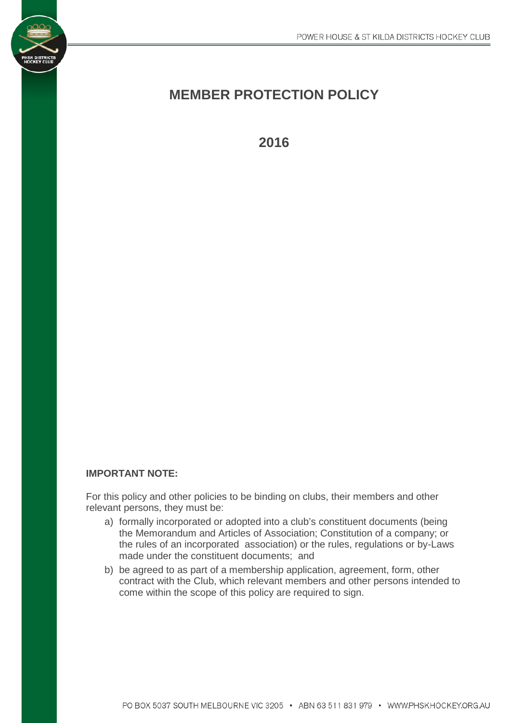# **MEMBER PROTECTION POLICY**

**2016**

# **IMPORTANT NOTE:**

For this policy and other policies to be binding on clubs, their members and other relevant persons, they must be:

- a) formally incorporated or adopted into a club's constituent documents (being the Memorandum and Articles of Association; Constitution of a company; or the rules of an incorporated association) or the rules, regulations or by-Laws made under the constituent documents; and
- b) be agreed to as part of a membership application, agreement, form, other contract with the Club, which relevant members and other persons intended to come within the scope of this policy are required to sign.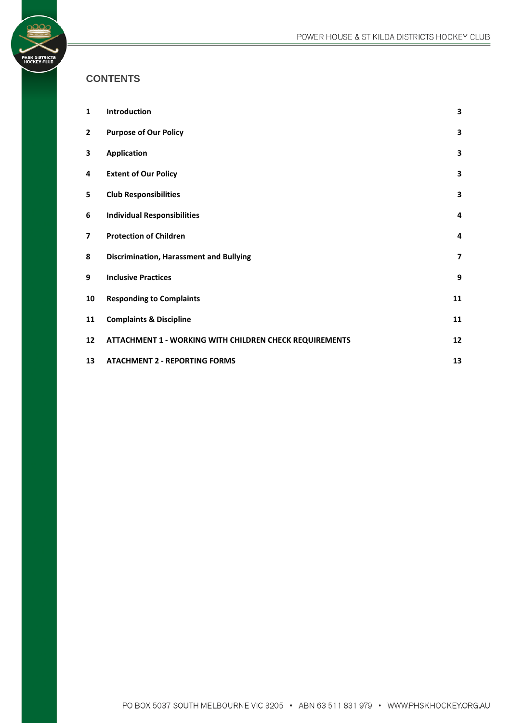# **CONTENTS**

**PHSK DISTRICTS<br>HOCKEY CLUB** 

| 1                        | Introduction                                            | 3                       |
|--------------------------|---------------------------------------------------------|-------------------------|
| $\overline{2}$           | <b>Purpose of Our Policy</b>                            | 3                       |
| 3                        | <b>Application</b>                                      | 3                       |
| 4                        | <b>Extent of Our Policy</b>                             | 3                       |
| 5                        | <b>Club Responsibilities</b>                            | 3                       |
| 6                        | <b>Individual Responsibilities</b>                      | 4                       |
| $\overline{\phantom{a}}$ | <b>Protection of Children</b>                           | 4                       |
| 8                        | <b>Discrimination, Harassment and Bullying</b>          | $\overline{\mathbf{z}}$ |
| 9                        | <b>Inclusive Practices</b>                              | 9                       |
| 10                       | <b>Responding to Complaints</b>                         | 11                      |
| 11                       | <b>Complaints &amp; Discipline</b>                      | 11                      |
| 12                       | ATTACHMENT 1 - WORKING WITH CHILDREN CHECK REQUIREMENTS | 12                      |
| 13                       | <b>ATACHMENT 2 - REPORTING FORMS</b>                    | 13                      |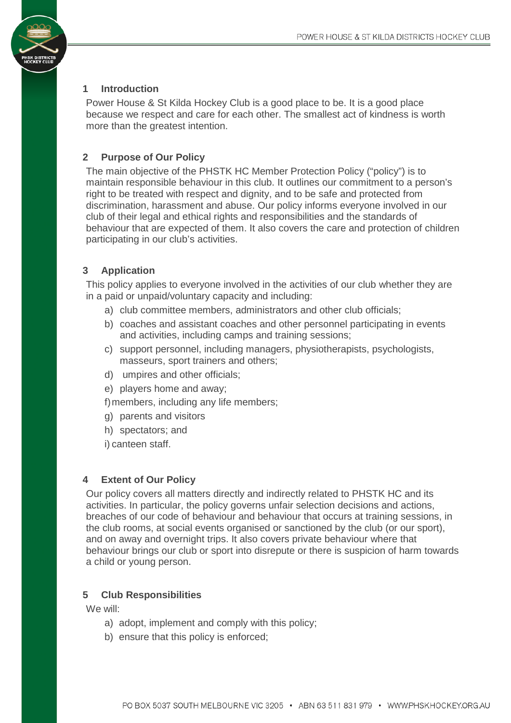# <span id="page-2-0"></span>**1 Introduction**

Power House & St Kilda Hockey Club is a good place to be. It is a good place because we respect and care for each other. The smallest act of kindness is worth more than the greatest intention.

# <span id="page-2-1"></span>**2 Purpose of Our Policy**

The main objective of the PHSTK HC Member Protection Policy ("policy") is to maintain responsible behaviour in this club. It outlines our commitment to a person's right to be treated with respect and dignity, and to be safe and protected from discrimination, harassment and abuse. Our policy informs everyone involved in our club of their legal and ethical rights and responsibilities and the standards of behaviour that are expected of them. It also covers the care and protection of children participating in our club's activities.

# <span id="page-2-2"></span>**3 Application**

This policy applies to everyone involved in the activities of our club whether they are in a paid or unpaid/voluntary capacity and including:

- a) club committee members, administrators and other club officials;
- b) coaches and assistant coaches and other personnel participating in events and activities, including camps and training sessions;
- c) support personnel, including managers, physiotherapists, psychologists, masseurs, sport trainers and others;
- d) umpires and other officials;
- e) players home and away;

f)members, including any life members;

- g) parents and visitors
- h) spectators; and
- i) canteen staff.

#### <span id="page-2-3"></span>**4 Extent of Our Policy**

Our policy covers all matters directly and indirectly related to PHSTK HC and its activities. In particular, the policy governs unfair selection decisions and actions, breaches of our code of behaviour and behaviour that occurs at training sessions, in the club rooms, at social events organised or sanctioned by the club (or our sport), and on away and overnight trips. It also covers private behaviour where that behaviour brings our club or sport into disrepute or there is suspicion of harm towards a child or young person.

#### <span id="page-2-4"></span>**5 Club Responsibilities**

We will:

- a) adopt, implement and comply with this policy;
- b) ensure that this policy is enforced;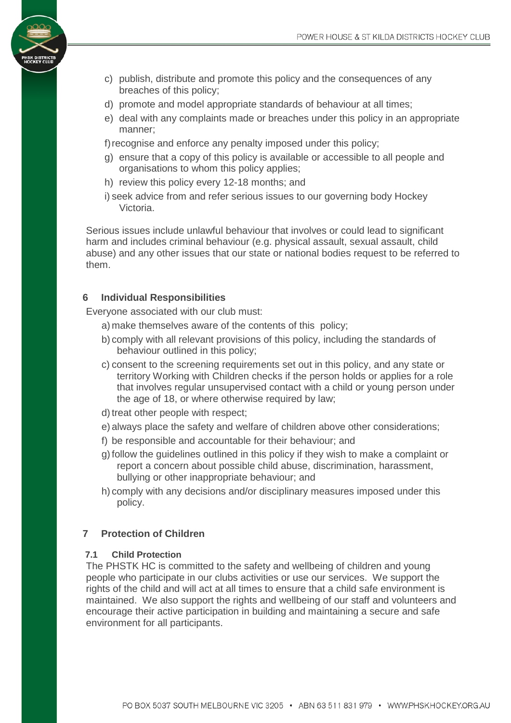- c) publish, distribute and promote this policy and the consequences of any breaches of this policy;
- d) promote and model appropriate standards of behaviour at all times;
- e) deal with any complaints made or breaches under this policy in an appropriate manner;
- f) recognise and enforce any penalty imposed under this policy;
- g) ensure that a copy of this policy is available or accessible to all people and organisations to whom this policy applies;
- h) review this policy every 12-18 months; and
- i) seek advice from and refer serious issues to our governing body Hockey Victoria.

Serious issues include unlawful behaviour that involves or could lead to significant harm and includes criminal behaviour (e.g. physical assault, sexual assault, child abuse) and any other issues that our state or national bodies request to be referred to them.

# <span id="page-3-0"></span>**6 Individual Responsibilities**

Everyone associated with our club must:

- a) make themselves aware of the contents of this policy;
- b) comply with all relevant provisions of this policy, including the standards of behaviour outlined in this policy;
- c) consent to the screening requirements set out in this policy, and any state or territory Working with Children checks if the person holds or applies for a role that involves regular unsupervised contact with a child or young person under the age of 18, or where otherwise required by law;
- d) treat other people with respect;
- e) always place the safety and welfare of children above other considerations;
- f) be responsible and accountable for their behaviour; and
- g)follow the guidelines outlined in this policy if they wish to make a complaint or report a concern about possible child abuse, discrimination, harassment, bullying or other inappropriate behaviour; and
- h) comply with any decisions and/or disciplinary measures imposed under this policy.

# <span id="page-3-1"></span>**7 Protection of Children**

#### **7.1 Child Protection**

The PHSTK HC is committed to the safety and wellbeing of children and young people who participate in our clubs activities or use our services. We support the rights of the child and will act at all times to ensure that a child safe environment is maintained. We also support the rights and wellbeing of our staff and volunteers and encourage their active participation in building and maintaining a secure and safe environment for all participants.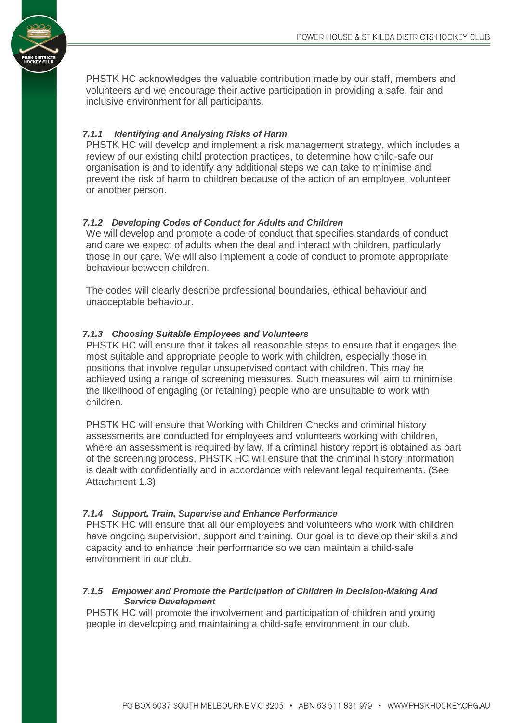PHSTK HC acknowledges the valuable contribution made by our staff, members and volunteers and we encourage their active participation in providing a safe, fair and inclusive environment for all participants.

# *7.1.1 Identifying and Analysing Risks of Harm*

PHSTK HC will develop and implement a risk management strategy, which includes a review of our existing child protection practices, to determine how child-safe our organisation is and to identify any additional steps we can take to minimise and prevent the risk of harm to children because of the action of an employee, volunteer or another person.

# *7.1.2 Developing Codes of Conduct for Adults and Children*

We will develop and promote a code of conduct that specifies standards of conduct and care we expect of adults when the deal and interact with children, particularly those in our care. We will also implement a code of conduct to promote appropriate behaviour between children.

The codes will clearly describe professional boundaries, ethical behaviour and unacceptable behaviour.

# *7.1.3 Choosing Suitable Employees and Volunteers*

PHSTK HC will ensure that it takes all reasonable steps to ensure that it engages the most suitable and appropriate people to work with children, especially those in positions that involve regular unsupervised contact with children. This may be achieved using a range of screening measures. Such measures will aim to minimise the likelihood of engaging (or retaining) people who are unsuitable to work with children.

PHSTK HC will ensure that Working with Children Checks and criminal history assessments are conducted for employees and volunteers working with children, where an assessment is required by law. If a criminal history report is obtained as part of the screening process, PHSTK HC will ensure that the criminal history information is dealt with confidentially and in accordance with relevant legal requirements. (See Attachment 1.3)

#### *7.1.4 Support, Train, Supervise and Enhance Performance*

PHSTK HC will ensure that all our employees and volunteers who work with children have ongoing supervision, support and training. Our goal is to develop their skills and capacity and to enhance their performance so we can maintain a child-safe environment in our club.

#### *7.1.5 Empower and Promote the Participation of Children In Decision-Making And Service Development*

PHSTK HC will promote the involvement and participation of children and young people in developing and maintaining a child-safe environment in our club.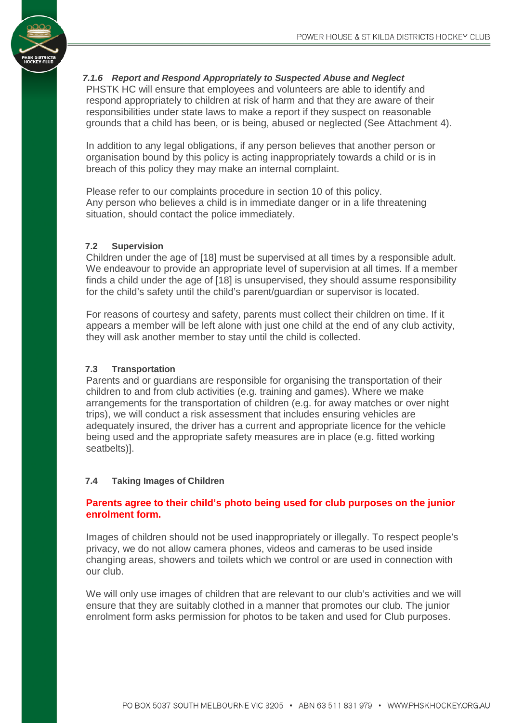

#### *7.1.6 Report and Respond Appropriately to Suspected Abuse and Neglect*

PHSTK HC will ensure that employees and volunteers are able to identify and respond appropriately to children at risk of harm and that they are aware of their responsibilities under state laws to make a report if they suspect on reasonable grounds that a child has been, or is being, abused or neglected (See Attachment 4).

In addition to any legal obligations, if any person believes that another person or organisation bound by this policy is acting inappropriately towards a child or is in breach of this policy they may make an internal complaint.

Please refer to our complaints procedure in section 10 of this policy. Any person who believes a child is in immediate danger or in a life threatening situation, should contact the police immediately.

#### **7.2 Supervision**

Children under the age of [18] must be supervised at all times by a responsible adult. We endeavour to provide an appropriate level of supervision at all times. If a member finds a child under the age of [18] is unsupervised, they should assume responsibility for the child's safety until the child's parent/guardian or supervisor is located.

For reasons of courtesy and safety, parents must collect their children on time. If it appears a member will be left alone with just one child at the end of any club activity, they will ask another member to stay until the child is collected.

#### **7.3 Transportation**

Parents and or guardians are responsible for organising the transportation of their children to and from club activities (e.g. training and games). Where we make arrangements for the transportation of children (e.g. for away matches or over night trips), we will conduct a risk assessment that includes ensuring vehicles are adequately insured, the driver has a current and appropriate licence for the vehicle being used and the appropriate safety measures are in place (e.g. fitted working seatbelts)].

#### **7.4 Taking Images of Children**

# **Parents agree to their child's photo being used for club purposes on the junior enrolment form.**

Images of children should not be used inappropriately or illegally. To respect people's privacy, we do not allow camera phones, videos and cameras to be used inside changing areas, showers and toilets which we control or are used in connection with our club.

We will only use images of children that are relevant to our club's activities and we will ensure that they are suitably clothed in a manner that promotes our club. The junior enrolment form asks permission for photos to be taken and used for Club purposes.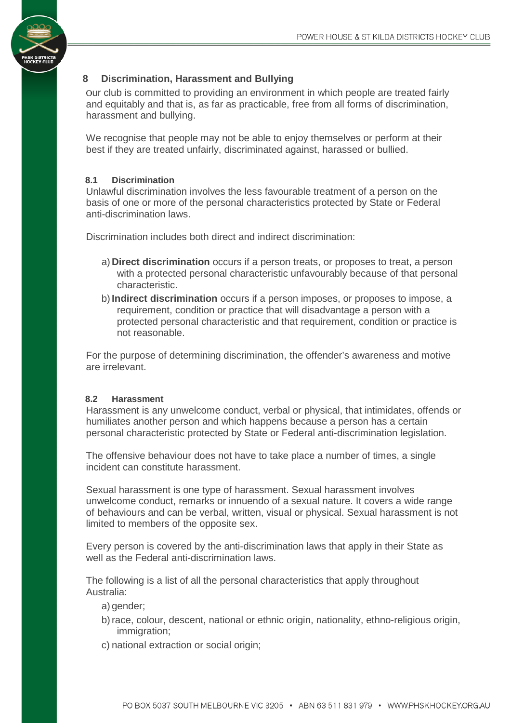# <span id="page-6-0"></span>**8 Discrimination, Harassment and Bullying**

Our club is committed to providing an environment in which people are treated fairly and equitably and that is, as far as practicable, free from all forms of discrimination, harassment and bullying.

We recognise that people may not be able to enjoy themselves or perform at their best if they are treated unfairly, discriminated against, harassed or bullied.

# **8.1 Discrimination**

Unlawful discrimination involves the less favourable treatment of a person on the basis of one or more of the personal characteristics protected by State or Federal anti-discrimination laws.

Discrimination includes both direct and indirect discrimination:

- a) **Direct discrimination** occurs if a person treats, or proposes to treat, a person with a protected personal characteristic unfavourably because of that personal characteristic.
- b)**Indirect discrimination** occurs if a person imposes, or proposes to impose, a requirement, condition or practice that will disadvantage a person with a protected personal characteristic and that requirement, condition or practice is not reasonable.

For the purpose of determining discrimination, the offender's awareness and motive are irrelevant.

#### **8.2 Harassment**

Harassment is any unwelcome conduct, verbal or physical, that intimidates, offends or humiliates another person and which happens because a person has a certain personal characteristic protected by State or Federal anti-discrimination legislation.

The offensive behaviour does not have to take place a number of times, a single incident can constitute harassment.

Sexual harassment is one type of harassment. Sexual harassment involves unwelcome conduct, remarks or innuendo of a sexual nature. It covers a wide range of behaviours and can be verbal, written, visual or physical. Sexual harassment is not limited to members of the opposite sex.

Every person is covered by the anti-discrimination laws that apply in their State as well as the Federal anti-discrimination laws.

The following is a list of all the personal characteristics that apply throughout Australia:

- a) gender;
- b)race, colour, descent, national or ethnic origin, nationality, ethno-religious origin, immigration;
- c) national extraction or social origin;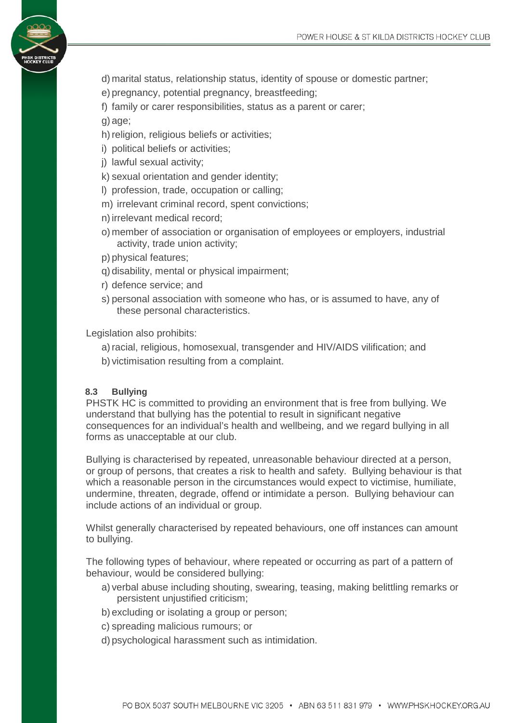

- d) marital status, relationship status, identity of spouse or domestic partner;
- e) pregnancy, potential pregnancy, breastfeeding;

f) family or carer responsibilities, status as a parent or carer;

g) age;

- h) religion, religious beliefs or activities;
- i) political beliefs or activities;
- j) lawful sexual activity;

k) sexual orientation and gender identity;

- l) profession, trade, occupation or calling;
- m) irrelevant criminal record, spent convictions;

n)irrelevant medical record;

- o) member of association or organisation of employees or employers, industrial activity, trade union activity;
- p) physical features;
- q) disability, mental or physical impairment;
- r) defence service; and
- s) personal association with someone who has, or is assumed to have, any of these personal characteristics.

Legislation also prohibits:

- a)racial, religious, homosexual, transgender and HIV/AIDS vilification; and
- b) victimisation resulting from a complaint.

#### **8.3 Bullying**

PHSTK HC is committed to providing an environment that is free from bullying. We understand that bullying has the potential to result in significant negative consequences for an individual's health and wellbeing, and we regard bullying in all forms as unacceptable at our club.

Bullying is characterised by repeated, unreasonable behaviour directed at a person, or group of persons, that creates a risk to health and safety. Bullying behaviour is that which a reasonable person in the circumstances would expect to victimise, humiliate, undermine, threaten, degrade, offend or intimidate a person. Bullying behaviour can include actions of an individual or group.

Whilst generally characterised by repeated behaviours, one off instances can amount to bullying.

The following types of behaviour, where repeated or occurring as part of a pattern of behaviour, would be considered bullying:

- a) verbal abuse including shouting, swearing, teasing, making belittling remarks or persistent unjustified criticism;
- b) excluding or isolating a group or person;
- c) spreading malicious rumours; or
- d) psychological harassment such as intimidation.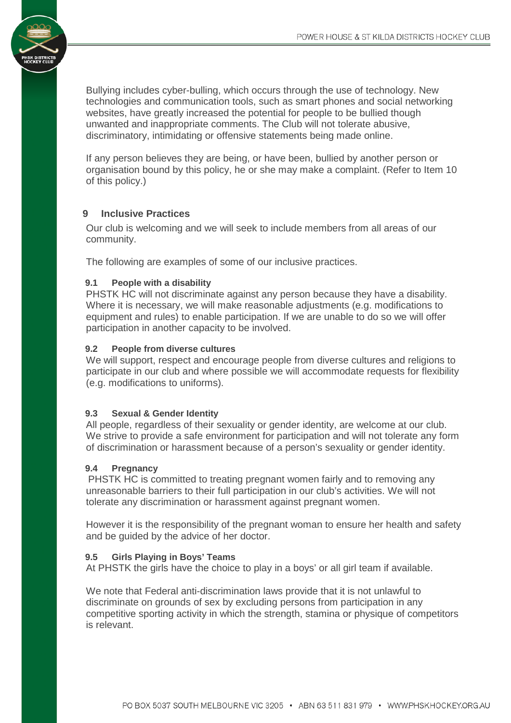Bullying includes cyber-bulling, which occurs through the use of technology. New technologies and communication tools, such as smart phones and social networking websites, have greatly increased the potential for people to be bullied though unwanted and inappropriate comments. The Club will not tolerate abusive, discriminatory, intimidating or offensive statements being made online.

If any person believes they are being, or have been, bullied by another person or organisation bound by this policy, he or she may make a complaint. (Refer to Item 10 of this policy.)

#### <span id="page-8-0"></span>**9 Inclusive Practices**

Our club is welcoming and we will seek to include members from all areas of our community.

The following are examples of some of our inclusive practices.

#### **9.1 People with a disability**

PHSTK HC will not discriminate against any person because they have a disability. Where it is necessary, we will make reasonable adjustments (e.g. modifications to equipment and rules) to enable participation. If we are unable to do so we will offer participation in another capacity to be involved.

#### **9.2 People from diverse cultures**

We will support, respect and encourage people from diverse cultures and religions to participate in our club and where possible we will accommodate requests for flexibility (e.g. modifications to uniforms).

#### **9.3 Sexual & Gender Identity**

All people, regardless of their sexuality or gender identity, are welcome at our club. We strive to provide a safe environment for participation and will not tolerate any form of discrimination or harassment because of a person's sexuality or gender identity.

#### **9.4 Pregnancy**

PHSTK HC is committed to treating pregnant women fairly and to removing any unreasonable barriers to their full participation in our club's activities. We will not tolerate any discrimination or harassment against pregnant women.

However it is the responsibility of the pregnant woman to ensure her health and safety and be guided by the advice of her doctor.

#### **9.5 Girls Playing in Boys' Teams**

At PHSTK the girls have the choice to play in a boys' or all girl team if available.

We note that Federal anti-discrimination laws provide that it is not unlawful to discriminate on grounds of sex by excluding persons from participation in any competitive sporting activity in which the strength, stamina or physique of competitors is relevant.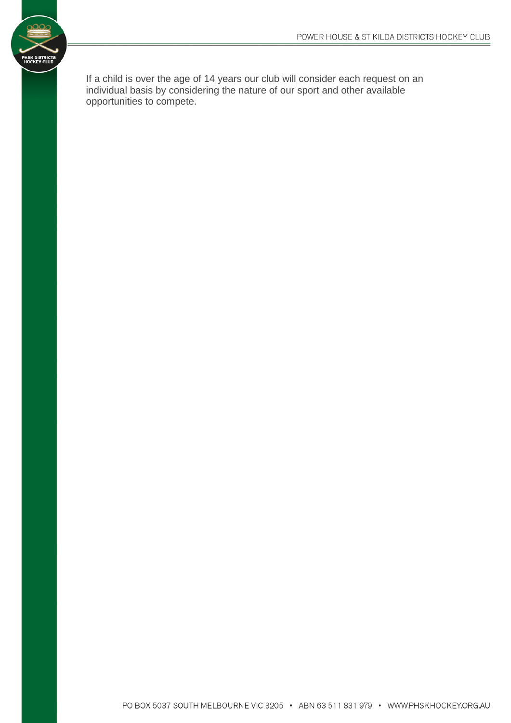

If a child is over the age of 14 years our club will consider each request on an individual basis by considering the nature of our sport and other available opportunities to compete.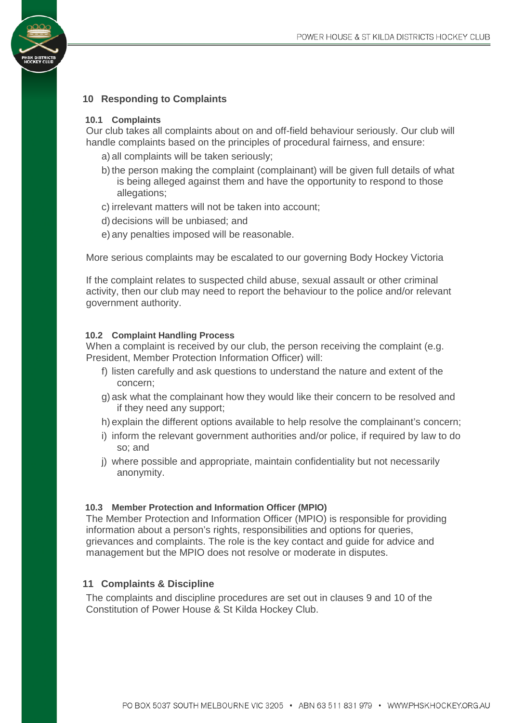# <span id="page-10-0"></span>**10 Responding to Complaints**

#### **10.1 Complaints**

Our club takes all complaints about on and off-field behaviour seriously. Our club will handle complaints based on the principles of procedural fairness, and ensure:

- a) all complaints will be taken seriously;
- b) the person making the complaint (complainant) will be given full details of what is being alleged against them and have the opportunity to respond to those allegations;
- c) irrelevant matters will not be taken into account;
- d) decisions will be unbiased; and
- e) any penalties imposed will be reasonable.

More serious complaints may be escalated to our governing Body Hockey Victoria

If the complaint relates to suspected child abuse, sexual assault or other criminal activity, then our club may need to report the behaviour to the police and/or relevant government authority.

#### **10.2 Complaint Handling Process**

When a complaint is received by our club, the person receiving the complaint (e.g. President, Member Protection Information Officer) will:

- f) listen carefully and ask questions to understand the nature and extent of the concern;
- g) ask what the complainant how they would like their concern to be resolved and if they need any support;
- h) explain the different options available to help resolve the complainant's concern;
- i) inform the relevant government authorities and/or police, if required by law to do so; and
- j) where possible and appropriate, maintain confidentiality but not necessarily anonymity.

#### **10.3 Member Protection and Information Officer (MPIO)**

The Member Protection and Information Officer (MPIO) is responsible for providing information about a person's rights, responsibilities and options for queries, grievances and complaints. The role is the key contact and guide for advice and management but the MPIO does not resolve or moderate in disputes.

#### <span id="page-10-1"></span>**11 Complaints & Discipline**

The complaints and discipline procedures are set out in clauses 9 and 10 of the Constitution of Power House & St Kilda Hockey Club.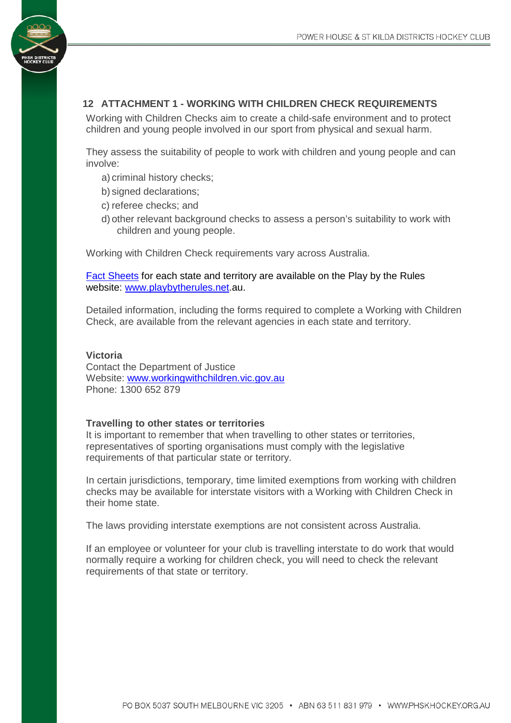# <span id="page-11-0"></span>**12 ATTACHMENT 1 - WORKING WITH CHILDREN CHECK REQUIREMENTS**

Working with Children Checks aim to create a child-safe environment and to protect children and young people involved in our sport from physical and sexual harm.

They assess the suitability of people to work with children and young people and can involve:

- a) criminal history checks;
- b) signed declarations;
- c) referee checks; and
- d) other relevant background checks to assess a person's suitability to work with children and young people.

Working with Children Check requirements vary across Australia.

[Fact Sheets](http://www.playbytherules.net.au/legal-stuff/child-protection/child-protection-laws-explained/screening) for each state and territory are available on the Play by the Rules website: [www.playbytherules.net.](http://www.playbytherules.net/)au.

Detailed information, including the forms required to complete a Working with Children Check, are available from the relevant agencies in each state and territory.

#### **Victoria**

Contact the Department of Justice Website: [www.workingwithchildren.vic.gov.au](http://www.workingwithchildren.vic.gov.au/) Phone: 1300 652 879

#### **Travelling to other states or territories**

It is important to remember that when travelling to other states or territories, representatives of sporting organisations must comply with the legislative requirements of that particular state or territory.

In certain jurisdictions, temporary, time limited exemptions from working with children checks may be available for interstate visitors with a Working with Children Check in their home state.

The laws providing interstate exemptions are not consistent across Australia.

If an employee or volunteer for your club is travelling interstate to do work that would normally require a working for children check, you will need to check the relevant requirements of that state or territory.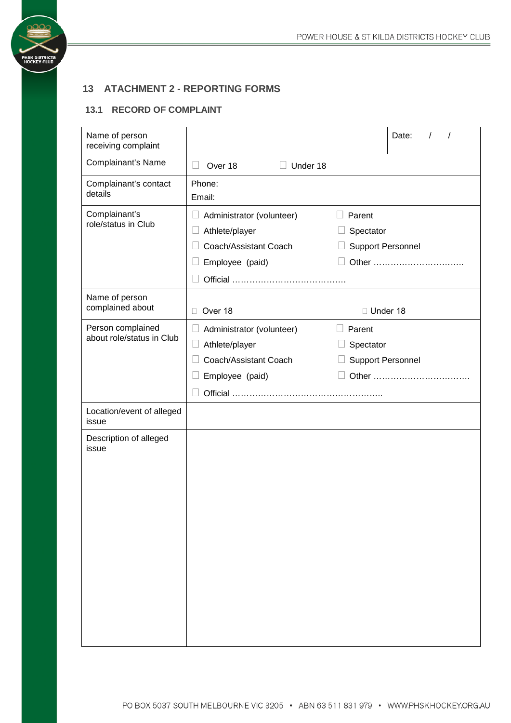#### <span id="page-12-0"></span>**13 ATACHMENT 2 - REPORTING FORMS**

# **13.1 RECORD OF COMPLAINT**

**PHSK DISTRICT<br>HOCKEY CLUE** 

| Name of person<br>receiving complaint          |                                                                                                                     | Date:                                                    |  |  |
|------------------------------------------------|---------------------------------------------------------------------------------------------------------------------|----------------------------------------------------------|--|--|
| Complainant's Name                             | $\Box$<br>Over 18<br>Under 18                                                                                       |                                                          |  |  |
| Complainant's contact<br>details               | Phone:<br>Email:                                                                                                    |                                                          |  |  |
| Complainant's<br>role/status in Club           | $\overline{\phantom{a}}$<br>Administrator (volunteer)<br>Athlete/player<br>Coach/Assistant Coach<br>Employee (paid) | Parent<br>Spectator<br><b>Support Personnel</b><br>Other |  |  |
| Name of person<br>complained about             | Over 18<br>$\Box$                                                                                                   | □ Under 18                                               |  |  |
| Person complained<br>about role/status in Club | Administrator (volunteer)<br>⊔<br>Athlete/player<br>$\Box$<br>Coach/Assistant Coach<br>Employee (paid)              | $\Box$ Parent<br>Spectator<br>Support Personnel          |  |  |
| Location/event of alleged<br>issue             |                                                                                                                     |                                                          |  |  |
| Description of alleged<br>issue                |                                                                                                                     |                                                          |  |  |